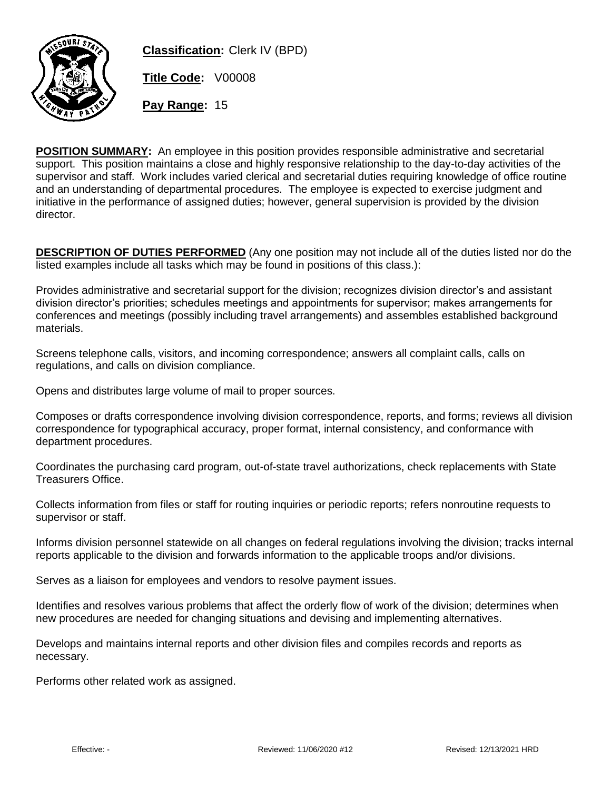

**Classification:** Clerk IV (BPD)

**Title Code:** V00008

**Pay Range:** 15

**POSITION SUMMARY:** An employee in this position provides responsible administrative and secretarial support. This position maintains a close and highly responsive relationship to the day-to-day activities of the supervisor and staff. Work includes varied clerical and secretarial duties requiring knowledge of office routine and an understanding of departmental procedures. The employee is expected to exercise judgment and initiative in the performance of assigned duties; however, general supervision is provided by the division director.

**DESCRIPTION OF DUTIES PERFORMED** (Any one position may not include all of the duties listed nor do the listed examples include all tasks which may be found in positions of this class.):

Provides administrative and secretarial support for the division; recognizes division director's and assistant division director's priorities; schedules meetings and appointments for supervisor; makes arrangements for conferences and meetings (possibly including travel arrangements) and assembles established background materials.

Screens telephone calls, visitors, and incoming correspondence; answers all complaint calls. calls on regulations, and calls on division compliance.

Opens and distributes large volume of mail to proper sources.

Composes or drafts correspondence involving division correspondence, reports, and forms; reviews all division correspondence for typographical accuracy, proper format, internal consistency, and conformance with department procedures.

Coordinates the purchasing card program, out-of-state travel authorizations, check replacements with State Treasurers Office.

Collects information from files or staff for routing inquiries or periodic reports; refers nonroutine requests to supervisor or staff.

Informs division personnel statewide on all changes on federal regulations involving the division; tracks internal reports applicable to the division and forwards information to the applicable troops and/or divisions.

Serves as a liaison for employees and vendors to resolve payment issues.

Identifies and resolves various problems that affect the orderly flow of work of the division; determines when new procedures are needed for changing situations and devising and implementing alternatives.

Develops and maintains internal reports and other division files and compiles records and reports as necessary.

Performs other related work as assigned.